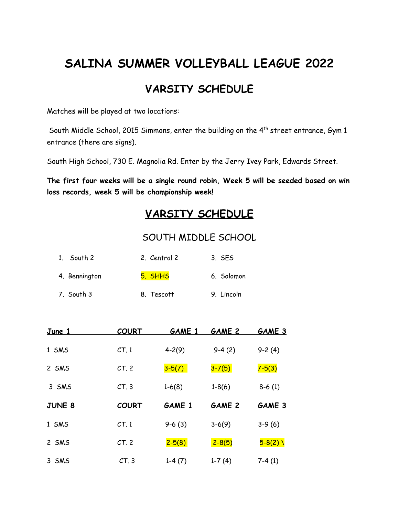# **SALINA SUMMER VOLLEYBALL LEAGUE 2022**

## **VARSITY SCHEDULE**

Matches will be played at two locations:

South Middle School, 2015 Simmons, enter the building on the  $4^{th}$  street entrance, Gym 1 entrance (there are signs).

South High School, 730 E. Magnolia Rd. Enter by the Jerry Ivey Park, Edwards Street.

**The first four weeks will be a single round robin, Week 5 will be seeded based on win loss records, week 5 will be championship week!**

## **VARSITY SCHEDULE**

#### SOUTH MIDDLE SCHOOL

| 1. South 2    | 2. Central 2 | 3. SES |            |
|---------------|--------------|--------|------------|
| 4. Bennington | 5. SHHS      |        | 6. Solomon |
| 7. South 3    | 8. Tescott   |        | 9. Lincoln |

| <u>June 1</u> | <b>COURT</b>    | <b>GAME 1</b> | <b>GAME 2</b> | <b>GAME 3</b> |
|---------------|-----------------|---------------|---------------|---------------|
| 1 SMS         | CT.1            | $4 - 2(9)$    | $9-4(2)$      | $9-2(4)$      |
| 2 SMS         | CT <sub>2</sub> | $3-5(7)$      | $3 - 7(5)$    | $7 - 5(3)$    |
| 3 SMS         | CT.3            | $1-6(8)$      | $1-8(6)$      | $8-6(1)$      |
|               |                 |               |               |               |
| <b>JUNE 8</b> | <b>COURT</b>    | <b>GAME 1</b> | <b>GAME 2</b> | <b>GAME 3</b> |
| 1 SMS         | CT.1            | $9-6(3)$      | $3-6(9)$      | $3-9(6)$      |
| 2 SMS         | CT.2            | $2 - 5(8)$    | $2 - 8(5)$    | $5 - 8(2)$    |